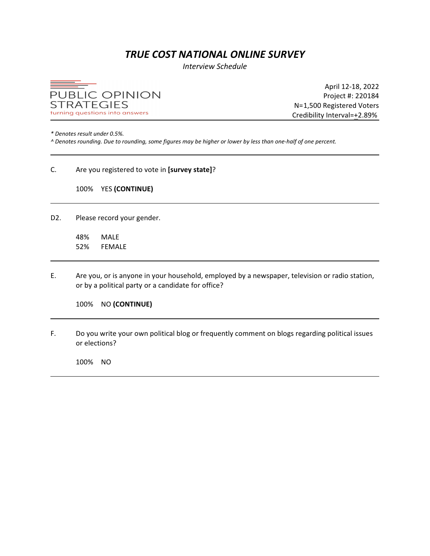# *TRUE COST NATIONAL ONLINE SURVEY*

*Interview Schedule*



April 12-18, 2022 Project #: 220184 N=1,500 Registered Voters Credibility Interval=+2.89%

*\* Denotes result under 0.5%.* 

*^ Denotes rounding. Due to rounding, some figures may be higher or lower by less than one-half of one percent.*

# C. Are you registered to vote in **[survey state]**?

# 100% YES **(CONTINUE)**

D2. Please record your gender.

48% MALE 52% FEMALE

E. Are you, or is anyone in your household, employed by a newspaper, television or radio station, or by a political party or a candidate for office?

100% NO **(CONTINUE)**

F. Do you write your own political blog or frequently comment on blogs regarding political issues or elections?

100% NO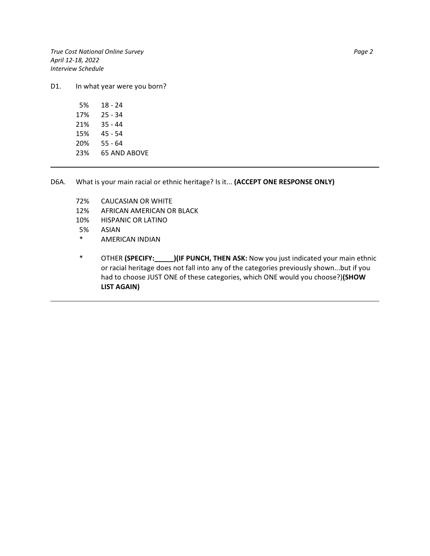*True Cost National Online Survey Page 2 April 12-18, 2022 Interview Schedule*

D1. In what year were you born?

| 5%  | 18 - 24      |
|-----|--------------|
| 17% | 25 - 34      |
| 21% | $35 - 44$    |
| 15% | $45 - 54$    |
| 20% | $55 - 64$    |
| 23% | 65 AND ABOVE |
|     |              |

D6A. What is your main racial or ethnic heritage? Is it... **(ACCEPT ONE RESPONSE ONLY)**

- 72% CAUCASIAN OR WHITE
- 12% AFRICAN AMERICAN OR BLACK
- 10% HISPANIC OR LATINO
- 5% ASIAN
- \* AMERICAN INDIAN
- \* OTHER **(SPECIFY:\_\_\_\_\_)(IF PUNCH, THEN ASK:** Now you just indicated your main ethnic or racial heritage does not fall into any of the categories previously shown...but if you had to choose JUST ONE of these categories, which ONE would you choose?)**(SHOW LIST AGAIN)**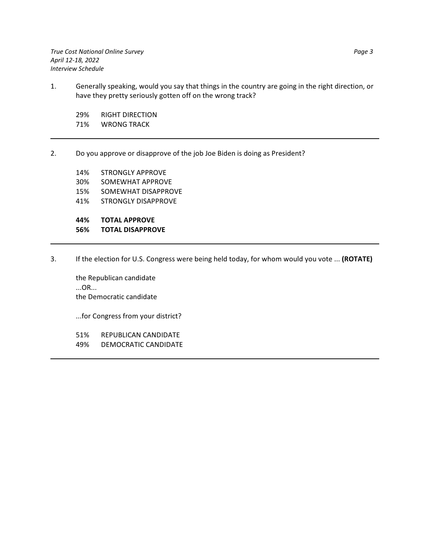*True Cost National Online Survey Page 3 April 12-18, 2022 Interview Schedule*

1. Generally speaking, would you say that things in the country are going in the right direction, or have they pretty seriously gotten off on the wrong track?

29% RIGHT DIRECTION 71% WRONG TRACK

2. Do you approve or disapprove of the job Joe Biden is doing as President?

14% STRONGLY APPROVE 30% SOMEWHAT APPROVE 15% SOMEWHAT DISAPPROVE 41% STRONGLY DISAPPROVE **44% TOTAL APPROVE**

**56% TOTAL DISAPPROVE**

3. If the election for U.S. Congress were being held today, for whom would you vote ... **(ROTATE)**

the Republican candidate ...OR... the Democratic candidate

...for Congress from your district?

- 51% REPUBLICAN CANDIDATE
- 49% DEMOCRATIC CANDIDATE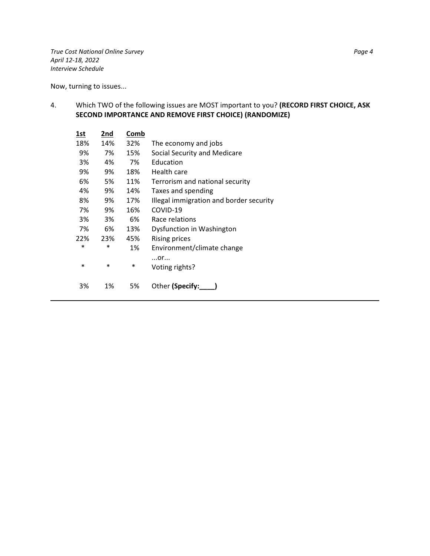*True Cost National Online Survey Page 4 April 12-18, 2022 Interview Schedule*

Now, turning to issues...

4. Which TWO of the following issues are MOST important to you? **(RECORD FIRST CHOICE, ASK SECOND IMPORTANCE AND REMOVE FIRST CHOICE) (RANDOMIZE)**

| 1st    | 2nd    | Comb |                                         |
|--------|--------|------|-----------------------------------------|
| 18%    | 14%    | 32%  | The economy and jobs                    |
| 9%     | 7%     | 15%  | Social Security and Medicare            |
| 3%     | 4%     | 7%   | Education                               |
| 9%     | 9%     | 18%  | Health care                             |
| 6%     | 5%     | 11%  | Terrorism and national security         |
| 4%     | 9%     | 14%  | Taxes and spending                      |
| 8%     | 9%     | 17%  | Illegal immigration and border security |
| 7%     | 9%     | 16%  | COVID-19                                |
| 3%     | 3%     | 6%   | Race relations                          |
| 7%     | 6%     | 13%  | Dysfunction in Washington               |
| 22%    | 23%    | 45%  | Rising prices                           |
| $\ast$ | $\ast$ | 1%   | Environment/climate change              |
| $\ast$ | $\ast$ | *    | $$ or<br>Voting rights?                 |
| 3%     | 1%     | 5%   | Other (Specify:                         |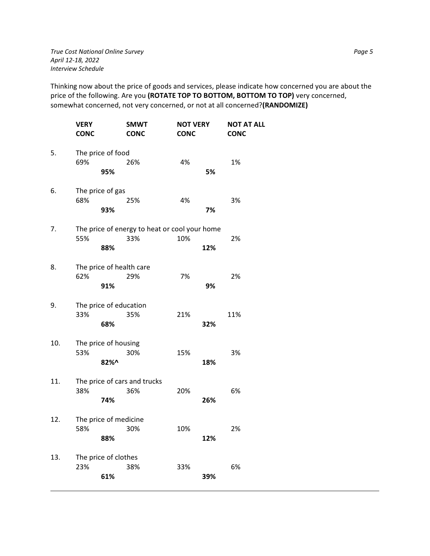Thinking now about the price of goods and services, please indicate how concerned you are about the price of the following. Are you **(ROTATE TOP TO BOTTOM, BOTTOM TO TOP)** very concerned, somewhat concerned, not very concerned, or not at all concerned?**(RANDOMIZE)**

|     | <b>VERY</b><br><b>CONC</b> |                        | <b>SMWT</b><br><b>CONC</b>                           | <b>NOT VERY</b><br><b>CONC</b> |     | <b>NOT AT ALL</b><br><b>CONC</b> |
|-----|----------------------------|------------------------|------------------------------------------------------|--------------------------------|-----|----------------------------------|
| 5.  | 69%                        | The price of food      | 26%                                                  | 4%                             |     | 1%                               |
|     |                            | 95%                    |                                                      |                                | 5%  |                                  |
| 6.  | 68%                        | The price of gas       | 25%                                                  | 4%                             |     | 3%                               |
|     |                            | 93%                    |                                                      |                                | 7%  |                                  |
| 7.  | 55%                        |                        | The price of energy to heat or cool your home<br>33% | 10%                            |     | 2%                               |
|     |                            | 88%                    |                                                      |                                | 12% |                                  |
| 8.  | 62%                        |                        | The price of health care<br>29%                      | 7%                             |     | 2%                               |
|     |                            | 91%                    |                                                      |                                | 9%  |                                  |
| 9.  | 33%                        | The price of education | 35%                                                  | 21%                            |     | 11%                              |
|     |                            | 68%                    |                                                      |                                | 32% |                                  |
| 10. | 53%                        | The price of housing   | 30%                                                  | 15%                            |     | 3%                               |
|     |                            | 82%^                   |                                                      |                                | 18% |                                  |
| 11. | 38%                        |                        | The price of cars and trucks<br>36%                  | 20%                            |     | 6%                               |
|     |                            | 74%                    |                                                      |                                | 26% |                                  |
| 12. | 58%                        | The price of medicine  |                                                      |                                |     |                                  |
|     |                            | 88%                    | 30%                                                  | 10%                            | 12% | 2%                               |
| 13. |                            | The price of clothes   |                                                      |                                |     |                                  |
|     | 23%                        | 61%                    | 38%                                                  | 33%                            | 39% | 6%                               |
|     |                            |                        |                                                      |                                |     |                                  |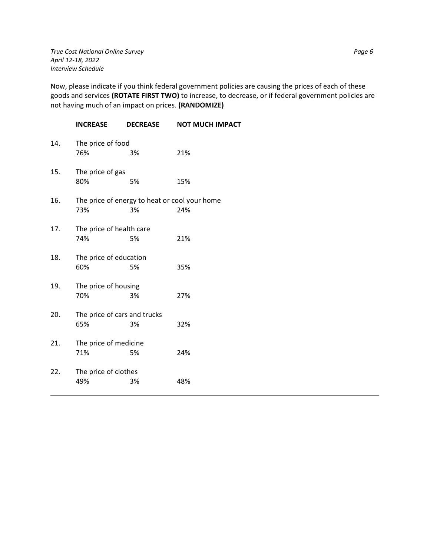*True Cost National Online Survey Page 6 April 12-18, 2022 Interview Schedule*

Now, please indicate if you think federal government policies are causing the prices of each of these goods and services **(ROTATE FIRST TWO)** to increase, to decrease, or if federal government policies are not having much of an impact on prices. **(RANDOMIZE)**

|     | <b>INCREASE</b>                                      | <b>DECREASE</b> | <b>NOT MUCH IMPACT</b> |
|-----|------------------------------------------------------|-----------------|------------------------|
| 14. | The price of food<br>76%                             | 3%              | 21%                    |
| 15. | The price of gas<br>80%                              | 5%              | 15%                    |
| 16. | The price of energy to heat or cool your home<br>73% | 3%              | 24%                    |
| 17. | The price of health care<br>74%                      | 5%              | 21%                    |
| 18. | The price of education<br>60%                        | 5%              | 35%                    |
| 19. | The price of housing<br>70%                          | 3%              | 27%                    |
| 20. | The price of cars and trucks<br>65%                  | 3%              | 32%                    |
| 21. | The price of medicine<br>71%                         | 5%              | 24%                    |
| 22. | The price of clothes<br>49%                          | 3%              | 48%                    |
|     |                                                      |                 |                        |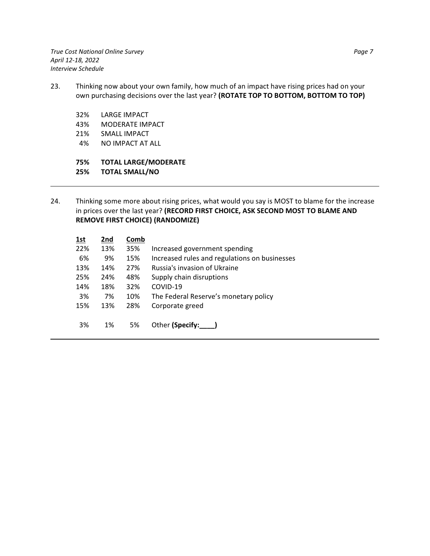*True Cost National Online Survey Page 7 April 12-18, 2022 Interview Schedule*

- 23. Thinking now about your own family, how much of an impact have rising prices had on your own purchasing decisions over the last year? **(ROTATE TOP TO BOTTOM, BOTTOM TO TOP)**
	- 32% LARGE IMPACT
	- 43% MODERATE IMPACT
	- 21% SMALL IMPACT
	- 4% NO IMPACT AT ALL
	- **75% TOTAL LARGE/MODERATE**

**25% TOTAL SMALL/NO**

24. Thinking some more about rising prices, what would you say is MOST to blame for the increase in prices over the last year? **(RECORD FIRST CHOICE, ASK SECOND MOST TO BLAME AND REMOVE FIRST CHOICE) (RANDOMIZE)**

| 1st | 2nd | Comb |                                               |
|-----|-----|------|-----------------------------------------------|
| 22% | 13% | 35%  | Increased government spending                 |
| 6%  | 9%  | 15%  | Increased rules and regulations on businesses |
| 13% | 14% | 27%  | Russia's invasion of Ukraine                  |
| 25% | 24% | 48%  | Supply chain disruptions                      |
| 14% | 18% | 32%  | COVID-19                                      |
| 3%  | 7%  | 10%  | The Federal Reserve's monetary policy         |
| 15% | 13% | 28%  | Corporate greed                               |
|     |     |      |                                               |
| 3%  | 1%  | 5%   | Other (Specify:                               |
|     |     |      |                                               |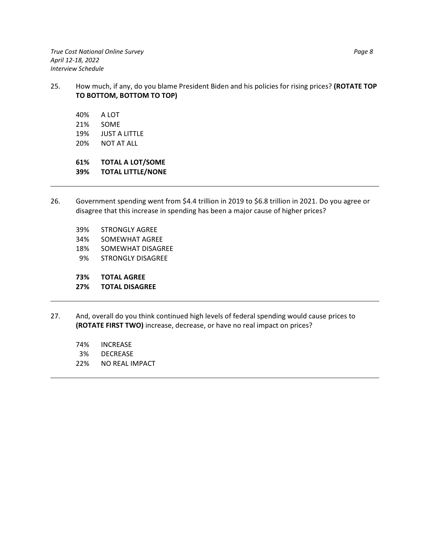*True Cost National Online Survey Page 8 April 12-18, 2022 Interview Schedule*

- 25. How much, if any, do you blame President Biden and his policies for rising prices? **(ROTATE TOP TO BOTTOM, BOTTOM TO TOP)**
	- 40% A LOT 21% SOME 19% JUST A LITTLE 20% NOT AT ALL

**61% TOTAL A LOT/SOME 39% TOTAL LITTLE/NONE**

- 26. Government spending went from \$4.4 trillion in 2019 to \$6.8 trillion in 2021. Do you agree or disagree that this increase in spending has been a major cause of higher prices?
	- 39% STRONGLY AGREE
	- 34% SOMEWHAT AGREE
	- 18% SOMEWHAT DISAGREE
	- 9% STRONGLY DISAGREE
	- **73% TOTAL AGREE**
	- **27% TOTAL DISAGREE**
- 27. And, overall do you think continued high levels of federal spending would cause prices to **(ROTATE FIRST TWO)** increase, decrease, or have no real impact on prices?
	- 74% INCREASE
	- 3% DECREASE
	- 22% NO REAL IMPACT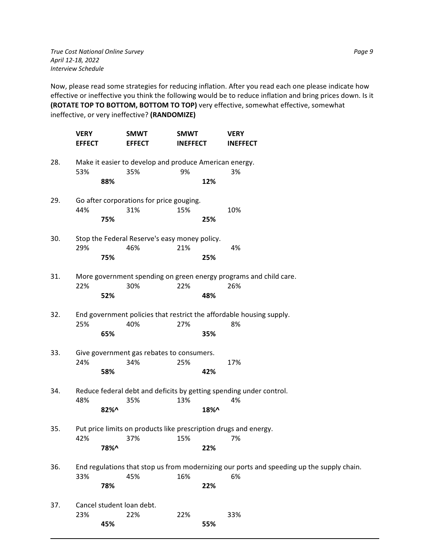*True Cost National Online Survey Page 9 April 12-18, 2022 Interview Schedule*

Now, please read some strategies for reducing inflation. After you read each one please indicate how effective or ineffective you think the following would be to reduce inflation and bring prices down. Is it **(ROTATE TOP TO BOTTOM, BOTTOM TO TOP)** very effective, somewhat effective, somewhat ineffective, or very ineffective? **(RANDOMIZE)**

|     | <b>VERY</b><br><b>EFFECT</b> | <b>SMWT</b><br><b>EFFECT</b>                                            | <b>SMWT</b><br><b>INEFFECT</b> |      | <b>VERY</b><br><b>INEFFECT</b>                                                            |
|-----|------------------------------|-------------------------------------------------------------------------|--------------------------------|------|-------------------------------------------------------------------------------------------|
| 28. | 53%                          | Make it easier to develop and produce American energy.<br>35%           | 9%                             |      | 3%                                                                                        |
|     | 88%                          |                                                                         |                                | 12%  |                                                                                           |
| 29. |                              | Go after corporations for price gouging.                                |                                |      |                                                                                           |
|     | 44%<br>75%                   | 31%                                                                     | 15%                            | 25%  | 10%                                                                                       |
| 30. | 29%                          | Stop the Federal Reserve's easy money policy.<br>46%                    | 21%                            |      | 4%                                                                                        |
|     | 75%                          |                                                                         |                                | 25%  |                                                                                           |
| 31. |                              |                                                                         |                                |      | More government spending on green energy programs and child care.                         |
|     | 22%<br>52%                   | 30%                                                                     | 22%                            | 48%  | 26%                                                                                       |
| 32. |                              |                                                                         |                                |      | End government policies that restrict the affordable housing supply.                      |
|     | 25%<br>65%                   | 40%                                                                     | 27%                            | 35%  | 8%                                                                                        |
| 33. |                              | Give government gas rebates to consumers.                               |                                |      |                                                                                           |
|     | 24%<br>58%                   | 34%                                                                     | 25%                            | 42%  | 17%                                                                                       |
| 34. |                              |                                                                         |                                |      | Reduce federal debt and deficits by getting spending under control.                       |
|     | 48%<br>82%^                  | 35%                                                                     | 13%                            | 18%^ | 4%                                                                                        |
| 35. | 42%                          | Put price limits on products like prescription drugs and energy.<br>37% | 15%                            |      | 7%                                                                                        |
|     | 78%^                         |                                                                         |                                | 22%  |                                                                                           |
| 36. |                              |                                                                         |                                |      | End regulations that stop us from modernizing our ports and speeding up the supply chain. |
|     | 33%<br>78%                   | 45%                                                                     | 16%                            | 22%  | 6%                                                                                        |
| 37. | Cancel student loan debt.    |                                                                         |                                |      |                                                                                           |
|     | 23%<br>45%                   | 22%                                                                     | 22%                            | 55%  | 33%                                                                                       |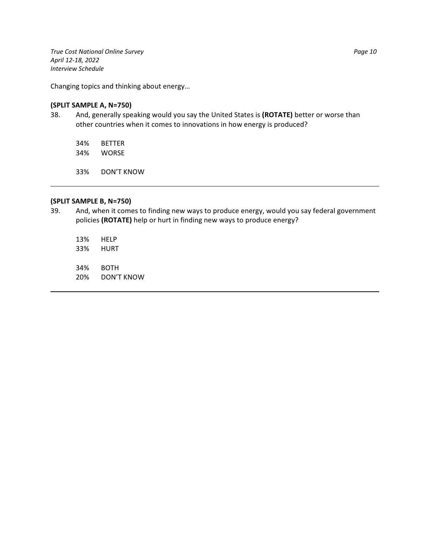*True Cost National Online Survey Page 10 April 12-18, 2022 Interview Schedule*

Changing topics and thinking about energy…

# **(SPLIT SAMPLE A, N=750)**

38. And, generally speaking would you say the United States is **(ROTATE)** better or worse than other countries when it comes to innovations in how energy is produced?

34% BETTER 34% WORSE

33% DON'T KNOW

# **(SPLIT SAMPLE B, N=750)**

- 39. And, when it comes to finding new ways to produce energy, would you say federal government policies **(ROTATE)** help or hurt in finding new ways to produce energy?
	- 13% HELP 33% HURT 34% BOTH
	- 20% DON'T KNOW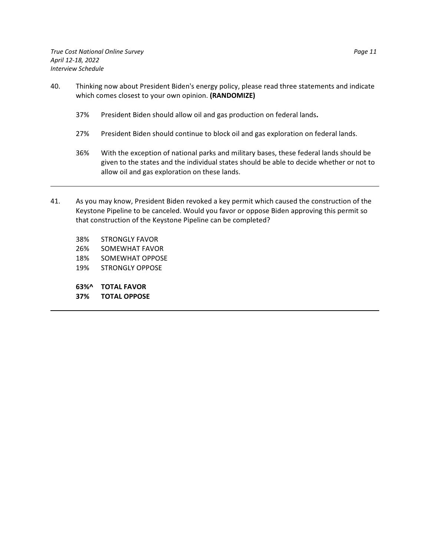- 40. Thinking now about President Biden's energy policy, please read three statements and indicate which comes closest to your own opinion. **(RANDOMIZE)**
	- 37% President Biden should allow oil and gas production on federal lands**.**
	- 27% President Biden should continue to block oil and gas exploration on federal lands.
	- 36% With the exception of national parks and military bases, these federal lands should be given to the states and the individual states should be able to decide whether or not to allow oil and gas exploration on these lands.
- 41. As you may know, President Biden revoked a key permit which caused the construction of the Keystone Pipeline to be canceled. Would you favor or oppose Biden approving this permit so that construction of the Keystone Pipeline can be completed?
	- 38% STRONGLY FAVOR
	- 26% SOMEWHAT FAVOR
	- 18% SOMEWHAT OPPOSE
	- 19% STRONGLY OPPOSE
	- **63%^ TOTAL FAVOR**
	- **37% TOTAL OPPOSE**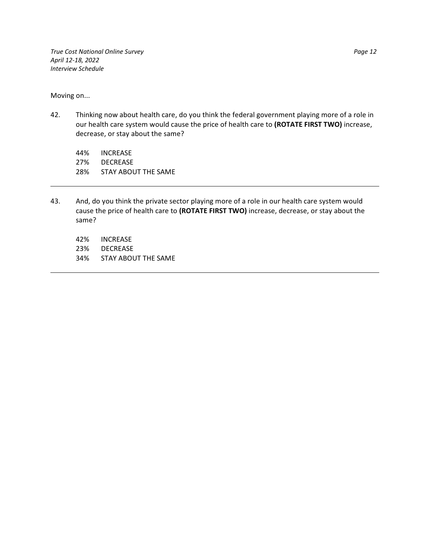*True Cost National Online Survey Page 12 April 12-18, 2022 Interview Schedule*

Moving on...

42. Thinking now about health care, do you think the federal government playing more of a role in our health care system would cause the price of health care to **(ROTATE FIRST TWO)** increase, decrease, or stay about the same?

44% INCREASE 27% DECREASE 28% STAY ABOUT THE SAME

- 43. And, do you think the private sector playing more of a role in our health care system would cause the price of health care to **(ROTATE FIRST TWO)** increase, decrease, or stay about the same?
	- 42% INCREASE
	- 23% DECREASE
	- 34% STAY ABOUT THE SAME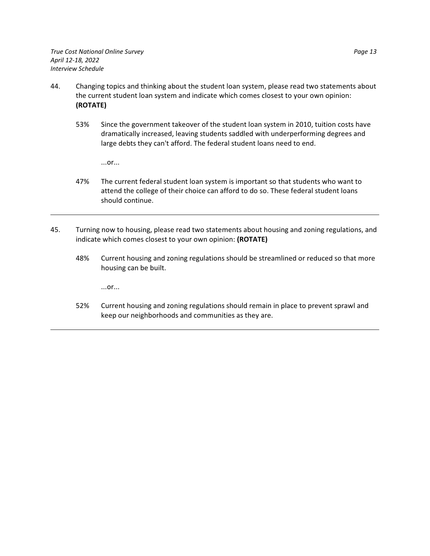- 44. Changing topics and thinking about the student loan system, please read two statements about the current student loan system and indicate which comes closest to your own opinion: **(ROTATE)**
	- 53% Since the government takeover of the student loan system in 2010, tuition costs have dramatically increased, leaving students saddled with underperforming degrees and large debts they can't afford. The federal student loans need to end.

...or...

- 47% The current federal student loan system is important so that students who want to attend the college of their choice can afford to do so. These federal student loans should continue.
- 45. Turning now to housing, please read two statements about housing and zoning regulations, and indicate which comes closest to your own opinion: **(ROTATE)**
	- 48% Current housing and zoning regulations should be streamlined or reduced so that more housing can be built.

...or...

52% Current housing and zoning regulations should remain in place to prevent sprawl and keep our neighborhoods and communities as they are.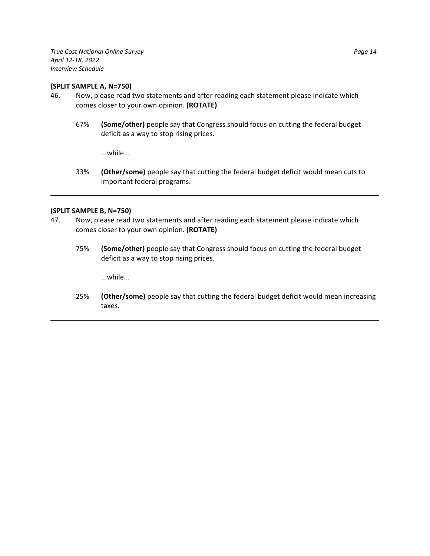*True Cost National Online Survey Page 14 April 12-18, 2022 Interview Schedule*

#### **(SPLIT SAMPLE A, N=750)**

- 46. Now, please read two statements and after reading each statement please indicate which comes closer to your own opinion. **(ROTATE)**
	- 67% **(Some/other)** people say that Congress should focus on cutting the federal budget deficit as a way to stop rising prices.

...while...

33% **(Other/some)** people say that cutting the federal budget deficit would mean cuts to important federal programs.

# **(SPLIT SAMPLE B, N=750)**

- 47. Now, please read two statements and after reading each statement please indicate which comes closer to your own opinion. **(ROTATE)**
	- 75% **(Some/other)** people say that Congress should focus on cutting the federal budget deficit as a way to stop rising prices.

...while...

25% **(Other/some)** people say that cutting the federal budget deficit would mean increasing taxes.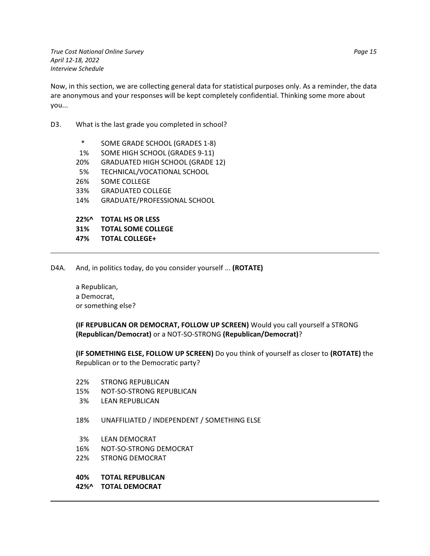*True Cost National Online Survey Page 15 April 12-18, 2022 Interview Schedule*

Now, in this section, we are collecting general data for statistical purposes only. As a reminder, the data are anonymous and your responses will be kept completely confidential. Thinking some more about you...

# D3. What is the last grade you completed in school?

| 31%      | <b>TOTAL SOME COLLEGE</b>               |
|----------|-----------------------------------------|
| $22\%$ ^ | <b>TOTAL HS OR LESS</b>                 |
|          |                                         |
| 14%      | <b>GRADUATE/PROFESSIONAL SCHOOL</b>     |
| 33%      | <b>GRADUATED COLLEGE</b>                |
| 26%      | <b>SOME COLLEGE</b>                     |
| 5%       | TECHNICAL/VOCATIONAL SCHOOL             |
| 20%      | <b>GRADUATED HIGH SCHOOL (GRADE 12)</b> |
| 1%       | SOME HIGH SCHOOL (GRADES 9-11)          |
| $\ast$   | SOME GRADE SCHOOL (GRADES 1-8)          |

- **47% TOTAL COLLEGE+**
- D4A. And, in politics today, do you consider yourself ... **(ROTATE)**

a Republican, a Democrat, or something else?

**(IF REPUBLICAN OR DEMOCRAT, FOLLOW UP SCREEN)** Would you call yourself a STRONG **(Republican/Democrat)** or a NOT-SO-STRONG **(Republican/Democrat)**?

**(IF SOMETHING ELSE, FOLLOW UP SCREEN)** Do you think of yourself as closer to **(ROTATE)** the Republican or to the Democratic party?

- 22% STRONG REPUBLICAN
- 15% NOT-SO-STRONG REPUBLICAN
- 3% LEAN REPUBLICAN
- 18% UNAFFILIATED / INDEPENDENT / SOMETHING ELSE
- 3% LEAN DEMOCRAT
- 16% NOT-SO-STRONG DEMOCRAT
- 22% STRONG DEMOCRAT
- **40% TOTAL REPUBLICAN**
- **42%^ TOTAL DEMOCRAT**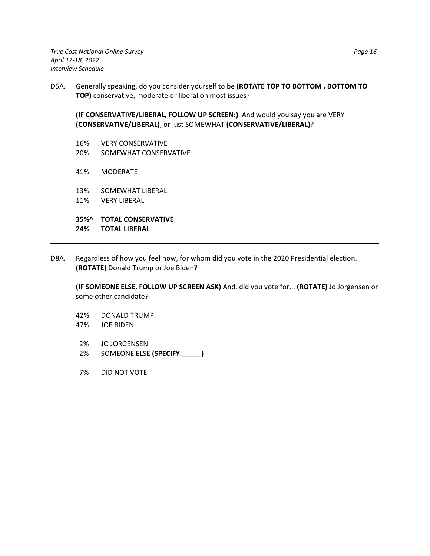*True Cost National Online Survey Page 16 April 12-18, 2022 Interview Schedule*

D5A. Generally speaking, do you consider yourself to be **(ROTATE TOP TO BOTTOM , BOTTOM TO TOP)** conservative, moderate or liberal on most issues?

**(IF CONSERVATIVE/LIBERAL, FOLLOW UP SCREEN:)** And would you say you are VERY **(CONSERVATIVE/LIBERAL)**, or just SOMEWHAT **(CONSERVATIVE/LIBERAL)**?

- 16% VERY CONSERVATIVE 20% SOMEWHAT CONSERVATIVE
- 41% MODERATE
- 13% SOMEWHAT LIBERAL
- 11% VERY LIBERAL

**35%^ TOTAL CONSERVATIVE**

- **24% TOTAL LIBERAL**
- D8A. Regardless of how you feel now, for whom did you vote in the 2020 Presidential election... **(ROTATE)** Donald Trump or Joe Biden?

**(IF SOMEONE ELSE, FOLLOW UP SCREEN ASK)** And, did you vote for... **(ROTATE)** Jo Jorgensen or some other candidate?

- 42% DONALD TRUMP
- 47% JOE BIDEN
- 2% JO JORGENSEN
- 2% SOMEONE ELSE **(SPECIFY:\_\_\_\_\_)**
- 7% DID NOT VOTE